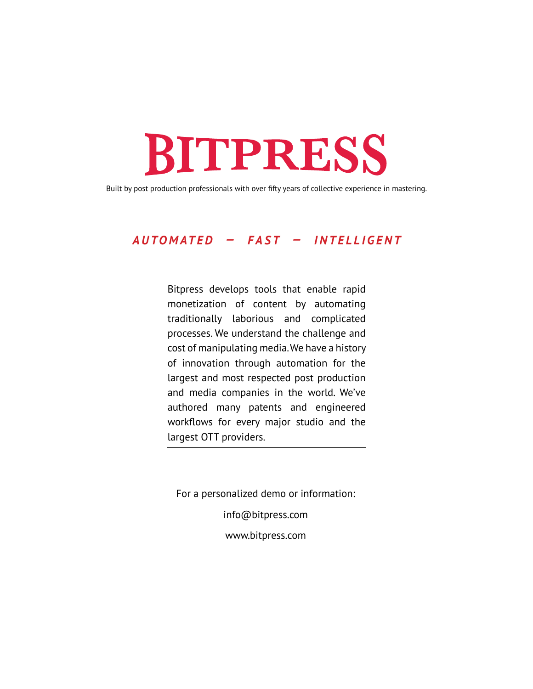Built by post production professionals with over fifty years of collective experience in mastering.

#### *AUTOMATED — FAST — INTELLIGENT*

Bitpress develops tools that enable rapid monetization of content by automating traditionally laborious and complicated processes. We understand the challenge and cost of manipulating media. We have a history of innovation through automation for the largest and most respected post production and media companies in the world. We've authored many patents and engineered workflows for every major studio and the largest OTT providers.

For a personalized demo or information:

info@bitpress.com

www.bitpress.com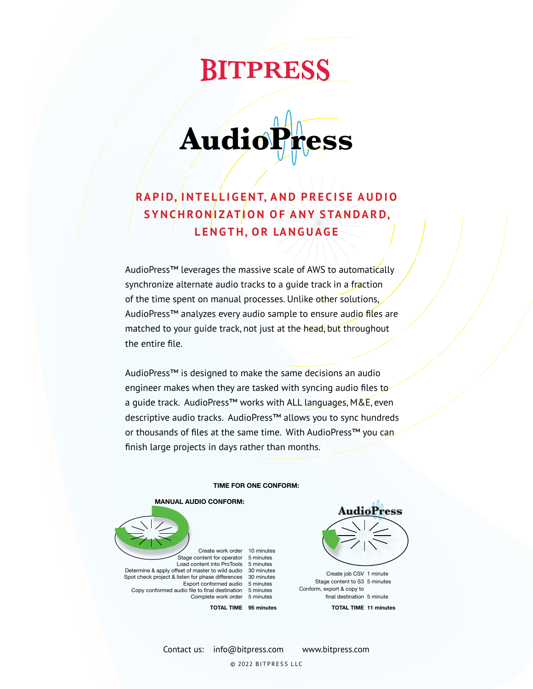**Audio** 

### **RA P I D, I N T E L L I G E N T, A N D P R E C I S E A U D I O**  S Y N CHRON **IZATION OF ANY STANDARD**, **L E N G T H, O R LA N G U AG E**

AudioPress™ leverages the massive scale of AWS to automatically synchronize alternate audio tracks to a guide track in a fraction of the time spent on manual processes. Unlike other solutions, AudioPress™ analyzes every audio sample to ensure audio files are matched to your quide track, not just at the head, but throughout the entire file.

AudioPress™ is designed to make the same decisions an audio engineer makes when they are tasked with syncing audio files to a quide track. AudioPress™ works with ALL languages, M&E, even descriptive audio tracks. AudioPress™ allows you to sync hundreds or thousands of files at the same time. With AudioPress™ you can finish large projects in days rather than months.

#### **TIME FOR ONE CONFORM:**

#### **MANUAL AUDIO CONFORM:**



Create work order 10 minutes Stage content for operator 5 minutes Load content into ProTools 5 minutes Determine & apply offset of master to wild audio  $\,$  30 minutes Spot check project & listen for phase differences  $\;$  30 minutes Export conformed audio 5 minutes Copy conformed audio file to final destination 5 minutes Complete work order 5 minutes



Create job CSV 1 minute Stage content to S3 5 minutes Conform, export & copy to final destination 5 minute **TOTAL TIME 11 minutes**

Contact us: info@bitpress.com www.bitpress.com

**TOTAL TIME 95 minutes**

© 2022 BITPRESS LLC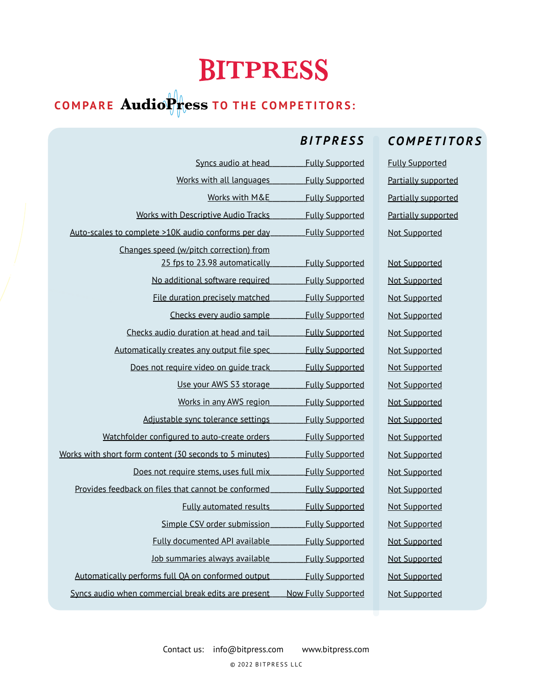$\frac{1}{2}$  $\frac{1}{2}$ 

Fully Supported

Fully Supported

### **COMPARE AudioPress TO THE COMPETITORS:**

Syncs audio at head

Works with all languages

#### *BITPRESS COMPETITORS*

Fully Supported Partially supported Partially supported Partially supported Not Supported

Not Supported Not Supported Not Supported Not Supported Not Supported Not Supported Not Supported Not Supported Not Supported Not Supported Not Supported Not Supported Not Supported Not Supported Not Supported Not Supported Not Supported Not Supported Not Supported Not Supported

| <b>Fully Supported</b> | Works with M&E                                          |  |
|------------------------|---------------------------------------------------------|--|
| <b>Fully Supported</b> | <b>Works with Descriptive Audio Tracks</b>              |  |
| <b>Fully Supported</b> | Auto-scales to complete >10K audio conforms per day     |  |
|                        | Changes speed (w/pitch correction) from                 |  |
| <b>Fully Supported</b> | 25 fps to 23.98 automatically                           |  |
| <b>Fully Supported</b> | No additional software required                         |  |
| <b>Fully Supported</b> | File duration precisely matched                         |  |
| <b>Fully Supported</b> | Checks every audio sample                               |  |
| <b>Fully Supported</b> | Checks audio duration at head and tail                  |  |
| <b>Fully Supported</b> | Automatically creates any output file spec              |  |
| <b>Fully Supported</b> | Does not require video on guide track                   |  |
| <b>Fully Supported</b> | Use your AWS S3 storage                                 |  |
| <b>Fully Supported</b> | Works in any AWS region                                 |  |
| <b>Fully Supported</b> | Adjustable sync tolerance settings                      |  |
| <b>Fully Supported</b> | Watchfolder configured to auto-create orders            |  |
| <b>Fully Supported</b> | Works with short form content (30 seconds to 5 minutes) |  |
| <b>Fully Supported</b> | Does not require stems, uses full mix                   |  |
| <b>Fully Supported</b> | Provides feedback on files that cannot be conformed     |  |
| <b>Fully Supported</b> | <b>Fully automated results</b>                          |  |
| <b>Fully Supported</b> | Simple CSV order submission                             |  |
| <b>Fully Supported</b> | <b>Fully documented API available</b>                   |  |
| <b>Fully Supported</b> | Job summaries always available                          |  |
| <b>Fully Supported</b> | Automatically performs full QA on conformed output      |  |

Syncs audio when commercial break edits are present **Now Fully Supported**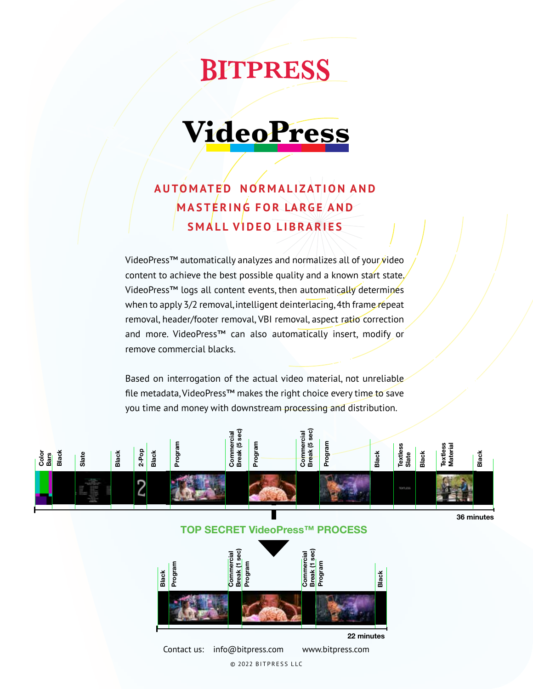## **VideoPress**

### **A U TO M AT E D N O R M A L I ZAT I O N A N D M A S T E R I N G F O R LA RG E A N D SMALL VIDEO LIBRARIES**

VideoPress™ automatically analyzes and normalizes all of your video content to achieve the best possible quality and a known start state. VideoPress™ logs all content events, then automatically determines when to apply 3/2 removal, intelligent deinterlacing, 4th frame repeat removal, header/footer removal, VBI removal, aspect ratio correction and more. VideoPress™ can also automatically insert, modify or remove commercial blacks.

Based on interrogation of the actual video material, not unreliable file metadata, VideoPress™ makes the right choice every time to save you time and money with downstream processing and distribution.



© 2022 BITPRESS LLC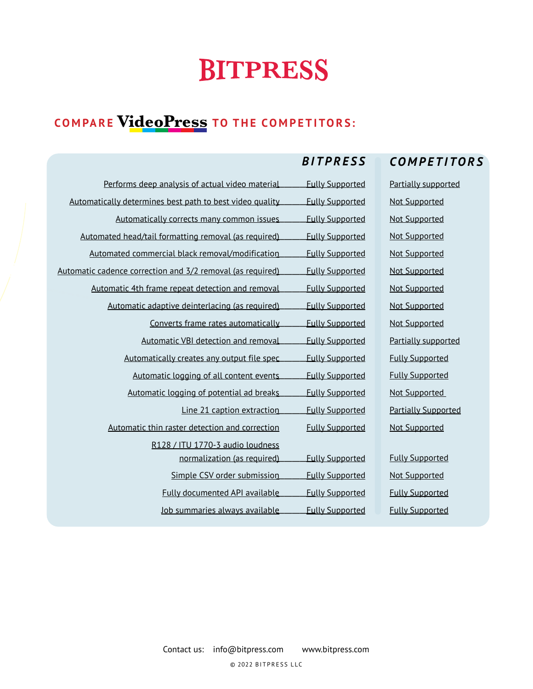### **VideoPress COMPARE TO THE COMPETITORS:**

#### *BITPRESS COMPETITORS*

| Performs deep analysis of actual video material            | <b>Fully Supported</b> | Partially supported        |
|------------------------------------------------------------|------------------------|----------------------------|
|                                                            |                        |                            |
| Automatically determines best path to best video quality   | <b>Fully Supported</b> | <b>Not Supported</b>       |
| Automatically corrects many common issues                  | <b>Fully Supported</b> | <b>Not Supported</b>       |
| Automated head/tail formatting removal (as required)       | <b>Fully Supported</b> | <b>Not Supported</b>       |
| Automated commercial black removal/modification            | <b>Fully Supported</b> | <b>Not Supported</b>       |
| Automatic cadence correction and 3/2 removal (as required) | <b>Fully Supported</b> | <b>Not Supported</b>       |
| Automatic 4th frame repeat detection and removal           | <b>Fully Supported</b> | <b>Not Supported</b>       |
| Automatic adaptive deinterlacing (as required)             | <b>Fully Supported</b> | <b>Not Supported</b>       |
| Converts frame rates automatically                         | <b>Fully Supported</b> | <b>Not Supported</b>       |
| Automatic VBI detection and removal                        | <b>Fully Supported</b> | Partially supported        |
| Automatically creates any output file spec                 | <b>Fully Supported</b> | <b>Fully Supported</b>     |
| Automatic logging of all content events                    | <b>Fully Supported</b> | <b>Fully Supported</b>     |
| Automatic logging of potential ad breaks                   | <b>Fully Supported</b> | Not Supported              |
| Line 21 caption extraction                                 | <b>Fully Supported</b> | <b>Partially Supported</b> |
| Automatic thin raster detection and correction             | <b>Fully Supported</b> | <b>Not Supported</b>       |
| R128 / ITU 1770-3 audio loudness                           |                        |                            |
| normalization (as required)                                | <b>Fully Supported</b> | <b>Fully Supported</b>     |
| Simple CSV order submission                                | <b>Fully Supported</b> | <b>Not Supported</b>       |
| <b>Fully documented API available</b>                      | <b>Fully Supported</b> | <b>Fully Supported</b>     |
| Job summaries always available                             | <b>Fully Supported</b> | <b>Fully Supported</b>     |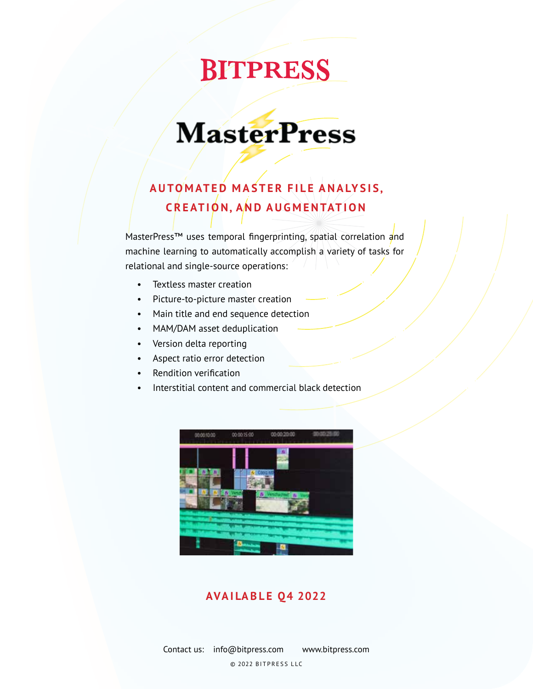## **MasterPress**

### **A U TO M AT E D M A S T E R F I L E A N A LY S I S, C R E AT I O N, A N D A U G M E N TAT I O N**

MasterPress™ uses temporal fingerprinting, spatial correlation and machine learning to automatically accomplish a variety of tasks for relational and single-source operations:

- Textless master creation
- Picture-to-picture master creation
- Main title and end sequence detection
- MAM/DAM asset deduplication
- Version delta reporting
- Aspect ratio error detection
- Rendition verification
- Interstitial content and commercial black detection



#### **AVAILABLE Q4 2022**

Contact us: info@bitpress.com www.bitpress.com © 2022 BITPRESS LLC